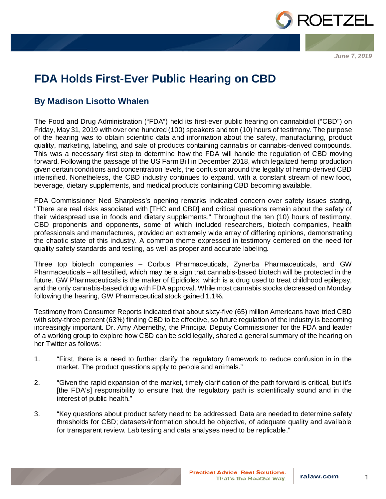

*June 7, 2019*

## **FDA Holds First-Ever Public Hearing on CBD**

## **By Madison Lisotto Whalen**

The Food and Drug Administration ("FDA") held its first-ever public hearing on cannabidiol ("CBD") on Friday, May 31, 2019 with over one hundred (100) speakers and ten (10) hours of testimony. The purpose of the hearing was to obtain scientific data and information about the safety, manufacturing, product quality, marketing, labeling, and sale of products containing cannabis or cannabis-derived compounds. This was a necessary first step to determine how the FDA will handle the regulation of CBD moving forward. Following the passage of the US Farm Bill in December 2018, which legalized hemp production given certain conditions and concentration levels, the confusion around the legality of hemp-derived CBD intensified. Nonetheless, the CBD industry continues to expand, with a constant stream of new food, beverage, dietary supplements, and medical products containing CBD becoming available.

FDA Commissioner Ned Sharpless's opening remarks indicated concern over safety issues stating, "There are real risks associated with [THC and CBD] and critical questions remain about the safety of their widespread use in foods and dietary supplements." Throughout the ten (10) hours of testimony, CBD proponents and opponents, some of which included researchers, biotech companies, health professionals and manufactures, provided an extremely wide array of differing opinions, demonstrating the chaotic state of this industry. A common theme expressed in testimony centered on the need for quality safety standards and testing, as well as proper and accurate labeling.

Three top biotech companies – Corbus Pharmaceuticals, Zynerba Pharmaceuticals, and GW Pharmaceuticals – all testified, which may be a sign that cannabis-based biotech will be protected in the future. GW Pharmaceuticals is the maker of Epidiolex, which is a drug used to treat childhood epilepsy, and the only cannabis-based drug with FDA approval. While most cannabis stocks decreased on Monday following the hearing, GW Pharmaceutical stock gained 1.1%.

Testimony from Consumer Reports indicated that about sixty-five (65) million Americans have tried CBD with sixty-three percent (63%) finding CBD to be effective, so future regulation of the industry is becoming increasingly important. Dr. Amy Abernethy, the Principal Deputy Commissioner for the FDA and leader of a working group to explore how CBD can be sold legally, shared a general summary of the hearing on her Twitter as follows:

- 1. "First, there is a need to further clarify the regulatory framework to reduce confusion in in the market. The product questions apply to people and animals."
- 2. "Given the rapid expansion of the market, timely clarification of the path forward is critical, but it's [the FDA's] responsibility to ensure that the regulatory path is scientifically sound and in the interest of public health."
- 3. "Key questions about product safety need to be addressed. Data are needed to determine safety thresholds for CBD; datasets/information should be objective, of adequate quality and available for transparent review. Lab testing and data analyses need to be replicable."